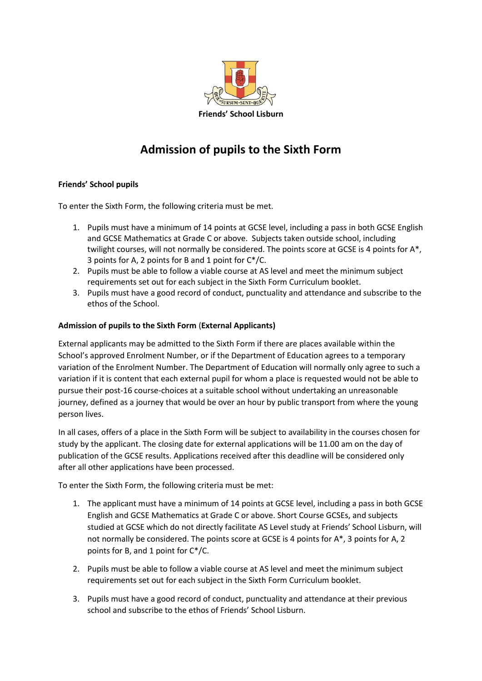

## **Admission of pupils to the Sixth Form**

## **Friends' School pupils**

To enter the Sixth Form, the following criteria must be met.

- 1. Pupils must have a minimum of 14 points at GCSE level, including a pass in both GCSE English and GCSE Mathematics at Grade C or above. Subjects taken outside school, including twilight courses, will not normally be considered. The points score at GCSE is 4 points for A\*, 3 points for A, 2 points for B and 1 point for C\*/C.
- 2. Pupils must be able to follow a viable course at AS level and meet the minimum subject requirements set out for each subject in the Sixth Form Curriculum booklet.
- 3. Pupils must have a good record of conduct, punctuality and attendance and subscribe to the ethos of the School.

## **Admission of pupils to the Sixth Form** (**External Applicants)**

External applicants may be admitted to the Sixth Form if there are places available within the School's approved Enrolment Number, or if the Department of Education agrees to a temporary variation of the Enrolment Number. The Department of Education will normally only agree to such a variation if it is content that each external pupil for whom a place is requested would not be able to pursue their post-16 course-choices at a suitable school without undertaking an unreasonable journey, defined as a journey that would be over an hour by public transport from where the young person lives.

In all cases, offers of a place in the Sixth Form will be subject to availability in the courses chosen for study by the applicant. The closing date for external applications will be 11.00 am on the day of publication of the GCSE results. Applications received after this deadline will be considered only after all other applications have been processed.

To enter the Sixth Form, the following criteria must be met:

- 1. The applicant must have a minimum of 14 points at GCSE level, including a pass in both GCSE English and GCSE Mathematics at Grade C or above. Short Course GCSEs, and subjects studied at GCSE which do not directly facilitate AS Level study at Friends' School Lisburn, will not normally be considered. The points score at GCSE is 4 points for A\*, 3 points for A, 2 points for B, and 1 point for C\*/C.
- 2. Pupils must be able to follow a viable course at AS level and meet the minimum subject requirements set out for each subject in the Sixth Form Curriculum booklet.
- 3. Pupils must have a good record of conduct, punctuality and attendance at their previous school and subscribe to the ethos of Friends' School Lisburn.